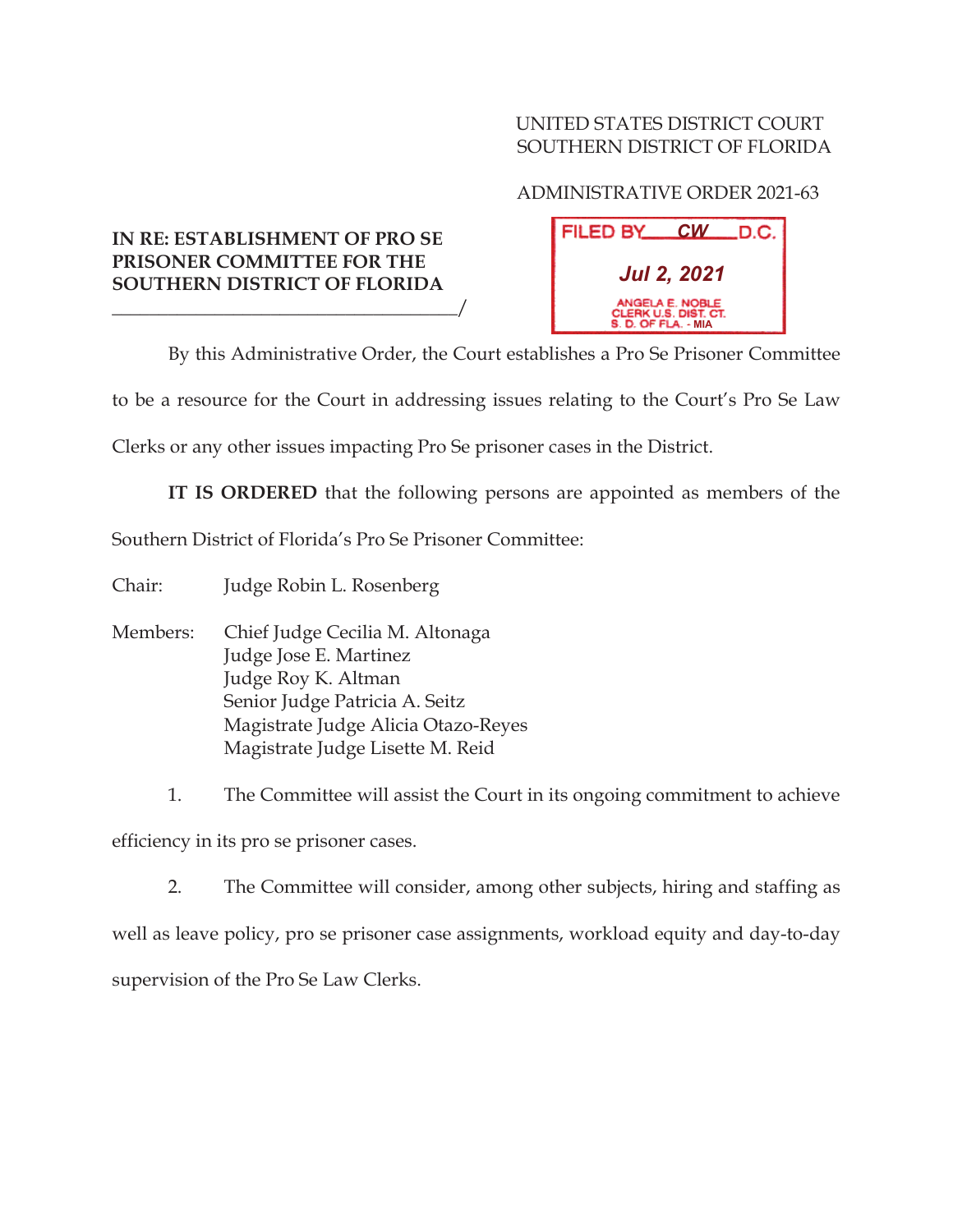## UNITED STATES DISTRICT COURT SOUTHERN DISTRICT OF FLORIDA

## ADMINISTRATIVE ORDER 2021-63

## **IN RE: ESTABLISHMENT OF PRO SE PRISONER COMMITTEE FOR THE SOUTHERN DISTRICT OF FLORIDA**

\_\_\_\_\_\_\_\_\_\_\_\_\_\_\_\_\_\_\_\_\_\_\_\_\_\_\_\_\_\_\_\_\_\_\_\_\_/

| FILED BY___                                                    |  | $CW$ D.C. |
|----------------------------------------------------------------|--|-----------|
| Jul 2, 2021                                                    |  |           |
| ANGELA E. NOBLE<br>CLERK U.S. DIST. CT.<br>S. D. OF FLA. - MIA |  |           |

By this Administrative Order, the Court establishes a Pro Se Prisoner Committee

to be a resource for the Court in addressing issues relating to the Court's Pro Se Law

Clerks or any other issues impacting Pro Se prisoner cases in the District.

**IT IS ORDERED** that the following persons are appointed as members of the

Southern District of Florida's Pro Se Prisoner Committee:

Chair: Judge Robin L. Rosenberg

Members: Chief Judge Cecilia M. Altonaga Judge Jose E. Martinez Judge Roy K. Altman Senior Judge Patricia A. Seitz Magistrate Judge Alicia Otazo-Reyes Magistrate Judge Lisette M. Reid

1. The Committee will assist the Court in its ongoing commitment to achieve efficiency in its pro se prisoner cases.

2. The Committee will consider, among other subjects, hiring and staffing as well as leave policy, pro se prisoner case assignments, workload equity and day-to-day supervision of the Pro Se Law Clerks.